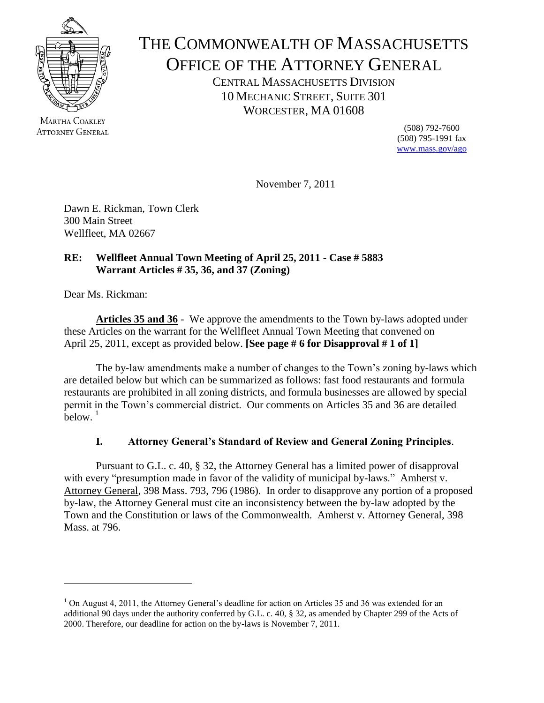

MARTHA COAKLEY **ATTORNEY GENERAL** 

# THE COMMONWEALTH OF MASSACHUSETTS OFFICE OF THE ATTORNEY GENERAL

CENTRAL MASSACHUSETTS DIVISION 10 MECHANIC STREET, SUITE 301 WORCESTER, MA 01608

> (508) 792-7600 (508) 795-1991 fax [www.mass.gov/ago](http://www.mass.gov/ago)

November 7, 2011

Dawn E. Rickman, Town Clerk 300 Main Street Wellfleet, MA 02667

# **RE: Wellfleet Annual Town Meeting of April 25, 2011 - Case # 5883 Warrant Articles # 35, 36, and 37 (Zoning)**

Dear Ms. Rickman:

 $\overline{\phantom{a}}$ 

**Articles 35 and 36** - We approve the amendments to the Town by-laws adopted under these Articles on the warrant for the Wellfleet Annual Town Meeting that convened on April 25, 2011, except as provided below. **[See page # 6 for Disapproval # 1 of 1]**

The by-law amendments make a number of changes to the Town's zoning by-laws which are detailed below but which can be summarized as follows: fast food restaurants and formula restaurants are prohibited in all zoning districts, and formula businesses are allowed by special permit in the Town's commercial district. Our comments on Articles 35 and 36 are detailed below.  $1$ 

# **I. Attorney General's Standard of Review and General Zoning Principles**.

Pursuant to G.L. c. 40, § 32, the Attorney General has a limited power of disapproval with every "presumption made in favor of the validity of municipal by-laws." Amherst v. Attorney General, 398 Mass. 793, 796 (1986). In order to disapprove any portion of a proposed by-law, the Attorney General must cite an inconsistency between the by-law adopted by the Town and the Constitution or laws of the Commonwealth. Amherst v. Attorney General, 398 Mass. at 796.

 $1$  On August 4, 2011, the Attorney General's deadline for action on Articles 35 and 36 was extended for an additional 90 days under the authority conferred by G.L. c. 40, § 32, as amended by Chapter 299 of the Acts of 2000. Therefore, our deadline for action on the by-laws is November 7, 2011.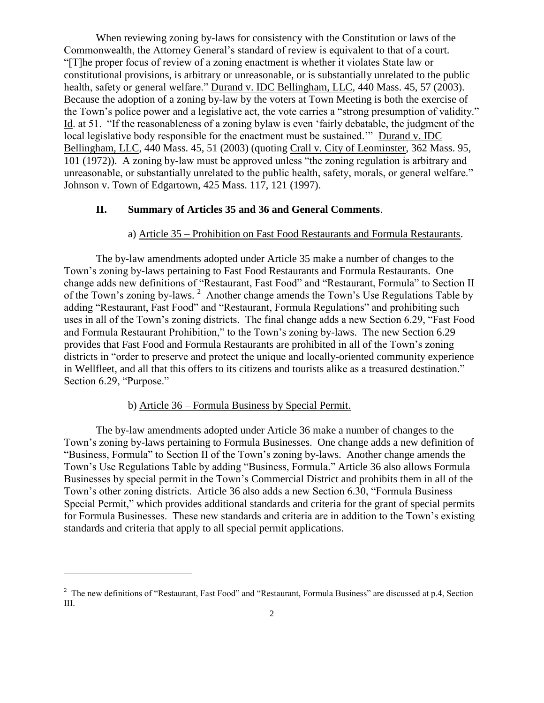When reviewing zoning by-laws for consistency with the Constitution or laws of the Commonwealth, the Attorney General's standard of review is equivalent to that of a court. "[T]he proper focus of review of a zoning enactment is whether it violates State law or constitutional provisions, is arbitrary or unreasonable, or is substantially unrelated to the public health, safety or general welfare." Durand v. IDC Bellingham, LLC, 440 Mass. 45, 57 (2003). Because the adoption of a zoning by-law by the voters at Town Meeting is both the exercise of the Town's police power and a legislative act, the vote carries a "strong presumption of validity." Id. at 51. "If the reasonableness of a zoning bylaw is even 'fairly debatable, the judgment of the local legislative body responsible for the enactment must be sustained.'" Durand v. IDC Bellingham, LLC, 440 Mass. 45, 51 (2003) (quoting Crall v. City of Leominster, 362 Mass. 95, 101 (1972)). A zoning by-law must be approved unless "the zoning regulation is arbitrary and unreasonable, or substantially unrelated to the public health, safety, morals, or general welfare." Johnson v. Town of Edgartown, 425 Mass. 117, 121 (1997).

#### **II. Summary of Articles 35 and 36 and General Comments**.

### a) Article 35 – Prohibition on Fast Food Restaurants and Formula Restaurants.

The by-law amendments adopted under Article 35 make a number of changes to the Town's zoning by-laws pertaining to Fast Food Restaurants and Formula Restaurants. One change adds new definitions of "Restaurant, Fast Food" and "Restaurant, Formula" to Section II of the Town's zoning by-laws.<sup>2</sup> Another change amends the Town's Use Regulations Table by adding "Restaurant, Fast Food" and "Restaurant, Formula Regulations" and prohibiting such uses in all of the Town's zoning districts. The final change adds a new Section 6.29, "Fast Food and Formula Restaurant Prohibition," to the Town's zoning by-laws. The new Section 6.29 provides that Fast Food and Formula Restaurants are prohibited in all of the Town's zoning districts in "order to preserve and protect the unique and locally-oriented community experience in Wellfleet, and all that this offers to its citizens and tourists alike as a treasured destination." Section 6.29, "Purpose."

### b) Article 36 – Formula Business by Special Permit.

 $\overline{a}$ 

The by-law amendments adopted under Article 36 make a number of changes to the Town's zoning by-laws pertaining to Formula Businesses. One change adds a new definition of "Business, Formula" to Section II of the Town's zoning by-laws. Another change amends the Town's Use Regulations Table by adding "Business, Formula." Article 36 also allows Formula Businesses by special permit in the Town's Commercial District and prohibits them in all of the Town's other zoning districts. Article 36 also adds a new Section 6.30, "Formula Business Special Permit," which provides additional standards and criteria for the grant of special permits for Formula Businesses. These new standards and criteria are in addition to the Town's existing standards and criteria that apply to all special permit applications.

<sup>&</sup>lt;sup>2</sup> The new definitions of "Restaurant, Fast Food" and "Restaurant, Formula Business" are discussed at p.4, Section III.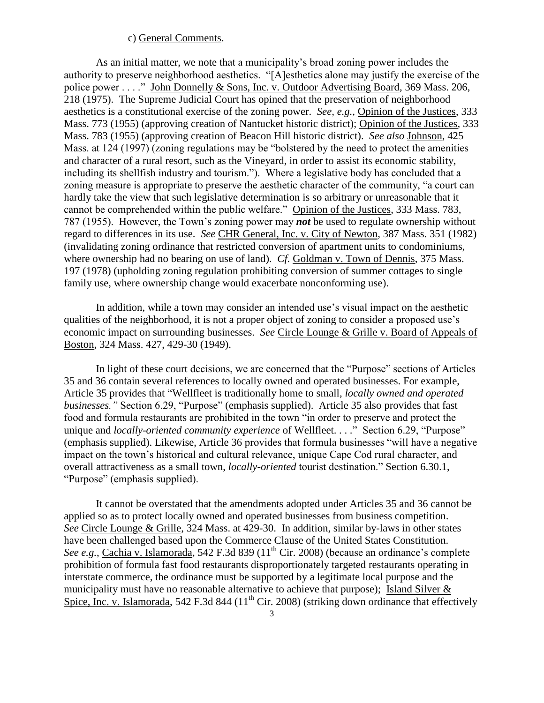#### c) General Comments.

As an initial matter, we note that a municipality's broad zoning power includes the authority to preserve neighborhood aesthetics. "[A]esthetics alone may justify the exercise of the police power . . . ." John Donnelly & Sons, Inc. v. Outdoor Advertising Board, 369 Mass. 206, 218 (1975). The Supreme Judicial Court has opined that the preservation of neighborhood aesthetics is a constitutional exercise of the zoning power. *See, e.g.,* Opinion of the Justices, 333 Mass. 773 (1955) (approving creation of Nantucket historic district); Opinion of the Justices, 333 Mass. 783 (1955) (approving creation of Beacon Hill historic district). *See also* Johnson, 425 Mass. at 124 (1997) (zoning regulations may be "bolstered by the need to protect the amenities and character of a rural resort, such as the Vineyard, in order to assist its economic stability, including its shellfish industry and tourism."). Where a legislative body has concluded that a zoning measure is appropriate to preserve the aesthetic character of the community, "a court can hardly take the view that such legislative determination is so arbitrary or unreasonable that it cannot be comprehended within the public welfare." Opinion of the Justices, 333 Mass. 783, 787 (1955). However, the Town's zoning power may *not* be used to regulate ownership without regard to differences in its use. *See* CHR General, Inc. v. City of Newton, 387 Mass. 351 (1982) (invalidating zoning ordinance that restricted conversion of apartment units to condominiums, where ownership had no bearing on use of land). *Cf.* Goldman v. Town of Dennis, 375 Mass. 197 (1978) (upholding zoning regulation prohibiting conversion of summer cottages to single family use, where ownership change would exacerbate nonconforming use).

In addition, while a town may consider an intended use's visual impact on the aesthetic qualities of the neighborhood, it is not a proper object of zoning to consider a proposed use's economic impact on surrounding businesses. *See* Circle Lounge & Grille v. Board of Appeals of Boston, 324 Mass. 427, 429-30 (1949).

In light of these court decisions, we are concerned that the "Purpose" sections of Articles 35 and 36 contain several references to locally owned and operated businesses. For example, Article 35 provides that "Wellfleet is traditionally home to small, *locally owned and operated businesses."* Section 6.29, "Purpose" (emphasis supplied). Article 35 also provides that fast food and formula restaurants are prohibited in the town "in order to preserve and protect the unique and *locally-oriented community experience* of Wellfleet. . . ." Section 6.29, "Purpose" (emphasis supplied). Likewise, Article 36 provides that formula businesses "will have a negative impact on the town's historical and cultural relevance, unique Cape Cod rural character, and overall attractiveness as a small town, *locally-oriented* tourist destination." Section 6.30.1, "Purpose" (emphasis supplied).

It cannot be overstated that the amendments adopted under Articles 35 and 36 cannot be applied so as to protect locally owned and operated businesses from business competition. *See* Circle Lounge & Grille, 324 Mass. at 429-30. In addition, similar by-laws in other states have been challenged based upon the Commerce Clause of the United States Constitution. *See e.g.*, Cachia v. Islamorada, 542 F.3d 839 (11<sup>th</sup> Cir. 2008) (because an ordinance's complete prohibition of formula fast food restaurants disproportionately targeted restaurants operating in interstate commerce, the ordinance must be supported by a legitimate local purpose and the municipality must have no reasonable alternative to achieve that purpose); Island Silver  $&$ Spice, Inc. v. Islamorada, 542 F.3d 844 ( $11<sup>th</sup>$  Cir. 2008) (striking down ordinance that effectively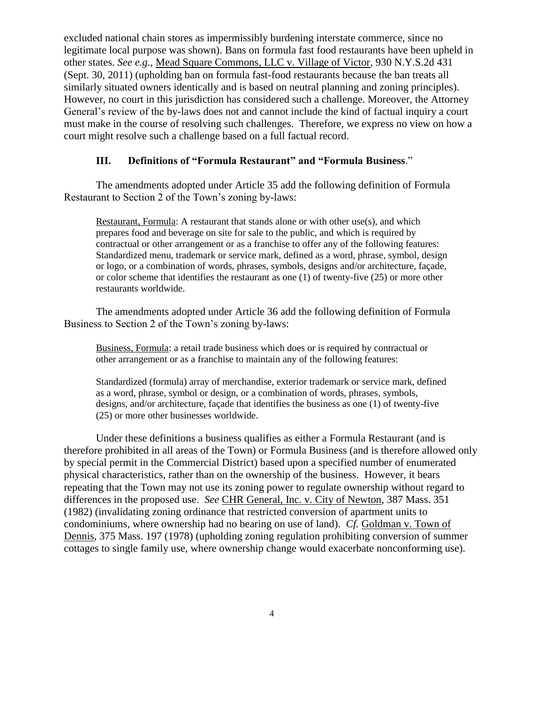excluded national chain stores as impermissibly burdening interstate commerce, since no legitimate local purpose was shown). Bans on formula fast food restaurants have been upheld in other states. *See e.g.,* Mead Square Commons, LLC v. Village of Victor, 930 N.Y.S.2d 431 (Sept. 30, 2011) (upholding ban on formula fast-food restaurants because the ban treats all similarly situated owners identically and is based on neutral planning and zoning principles). However, no court in this jurisdiction has considered such a challenge. Moreover, the Attorney General's review of the by-laws does not and cannot include the kind of factual inquiry a court must make in the course of resolving such challenges. Therefore, we express no view on how a court might resolve such a challenge based on a full factual record.

## **III. Definitions of "Formula Restaurant" and "Formula Business**."

The amendments adopted under Article 35 add the following definition of Formula Restaurant to Section 2 of the Town's zoning by-laws:

Restaurant, Formula: A restaurant that stands alone or with other use(s), and which prepares food and beverage on site for sale to the public, and which is required by contractual or other arrangement or as a franchise to offer any of the following features: Standardized menu, trademark or service mark, defined as a word, phrase, symbol, design or logo, or a combination of words, phrases, symbols, designs and/or architecture, façade, or color scheme that identifies the restaurant as one (1) of twenty-five (25) or more other restaurants worldwide.

The amendments adopted under Article 36 add the following definition of Formula Business to Section 2 of the Town's zoning by-laws:

Business, Formula: a retail trade business which does or is required by contractual or other arrangement or as a franchise to maintain any of the following features:

Standardized (formula) array of merchandise, exterior trademark or service mark, defined as a word, phrase, symbol or design, or a combination of words, phrases, symbols, designs, and/or architecture, façade that identifies the business as one (1) of twenty-five (25) or more other businesses worldwide.

Under these definitions a business qualifies as either a Formula Restaurant (and is therefore prohibited in all areas of the Town) or Formula Business (and is therefore allowed only by special permit in the Commercial District) based upon a specified number of enumerated physical characteristics, rather than on the ownership of the business. However, it bears repeating that the Town may not use its zoning power to regulate ownership without regard to differences in the proposed use. *See* CHR General, Inc. v. City of Newton, 387 Mass. 351 (1982) (invalidating zoning ordinance that restricted conversion of apartment units to condominiums, where ownership had no bearing on use of land). *Cf.* Goldman v. Town of Dennis, 375 Mass. 197 (1978) (upholding zoning regulation prohibiting conversion of summer cottages to single family use, where ownership change would exacerbate nonconforming use).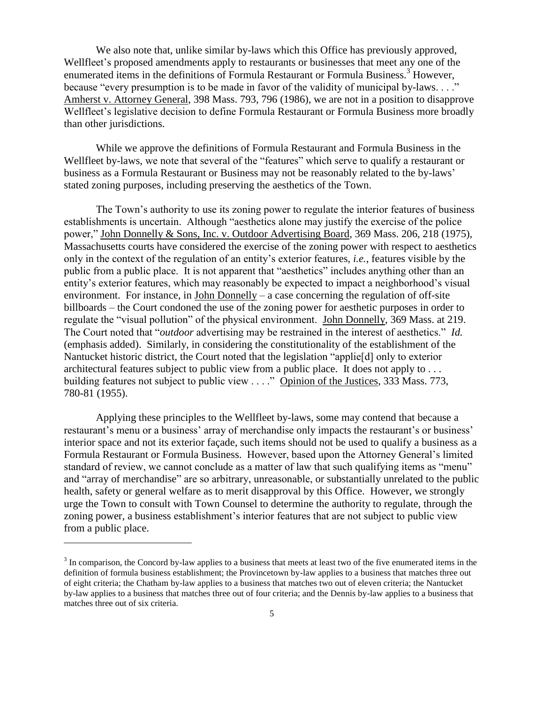We also note that, unlike similar by-laws which this Office has previously approved, Wellfleet's proposed amendments apply to restaurants or businesses that meet any one of the enumerated items in the definitions of Formula Restaurant or Formula Business.<sup>3</sup> However, because "every presumption is to be made in favor of the validity of municipal by-laws...." Amherst v. Attorney General, 398 Mass. 793, 796 (1986), we are not in a position to disapprove Wellfleet's legislative decision to define Formula Restaurant or Formula Business more broadly than other jurisdictions.

While we approve the definitions of Formula Restaurant and Formula Business in the Wellfleet by-laws, we note that several of the "features" which serve to qualify a restaurant or business as a Formula Restaurant or Business may not be reasonably related to the by-laws' stated zoning purposes, including preserving the aesthetics of the Town.

The Town's authority to use its zoning power to regulate the interior features of business establishments is uncertain. Although "aesthetics alone may justify the exercise of the police power," John Donnelly & Sons, Inc. v. Outdoor Advertising Board, 369 Mass. 206, 218 (1975), Massachusetts courts have considered the exercise of the zoning power with respect to aesthetics only in the context of the regulation of an entity's exterior features, *i.e.*, features visible by the public from a public place. It is not apparent that "aesthetics" includes anything other than an entity's exterior features, which may reasonably be expected to impact a neighborhood's visual environment. For instance, in John Donnelly – a case concerning the regulation of off-site billboards – the Court condoned the use of the zoning power for aesthetic purposes in order to regulate the "visual pollution" of the physical environment. John Donnelly, 369 Mass. at 219. The Court noted that "*outdoor* advertising may be restrained in the interest of aesthetics." *Id.* (emphasis added). Similarly, in considering the constitutionality of the establishment of the Nantucket historic district, the Court noted that the legislation "applie[d] only to exterior architectural features subject to public view from a public place. It does not apply to . . . building features not subject to public view . . . ." Opinion of the Justices, 333 Mass. 773, 780-81 (1955).

Applying these principles to the Wellfleet by-laws, some may contend that because a restaurant's menu or a business' array of merchandise only impacts the restaurant's or business' interior space and not its exterior façade, such items should not be used to qualify a business as a Formula Restaurant or Formula Business. However, based upon the Attorney General's limited standard of review, we cannot conclude as a matter of law that such qualifying items as "menu" and "array of merchandise" are so arbitrary, unreasonable, or substantially unrelated to the public health, safety or general welfare as to merit disapproval by this Office. However, we strongly urge the Town to consult with Town Counsel to determine the authority to regulate, through the zoning power, a business establishment's interior features that are not subject to public view from a public place.

l

 $3$  In comparison, the Concord by-law applies to a business that meets at least two of the five enumerated items in the definition of formula business establishment; the Provincetown by-law applies to a business that matches three out of eight criteria; the Chatham by-law applies to a business that matches two out of eleven criteria; the Nantucket by-law applies to a business that matches three out of four criteria; and the Dennis by-law applies to a business that matches three out of six criteria.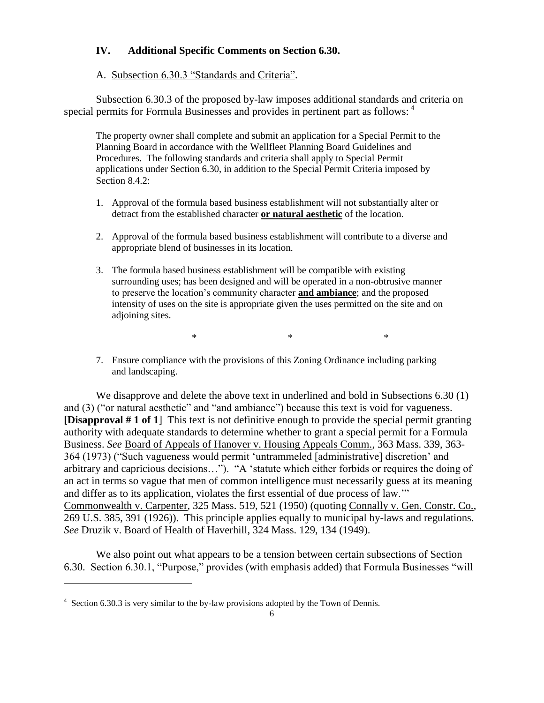## **IV. Additional Specific Comments on Section 6.30.**

#### A. Subsection 6.30.3 "Standards and Criteria".

Subsection 6.30.3 of the proposed by-law imposes additional standards and criteria on special permits for Formula Businesses and provides in pertinent part as follows: <sup>4</sup>

The property owner shall complete and submit an application for a Special Permit to the Planning Board in accordance with the Wellfleet Planning Board Guidelines and Procedures. The following standards and criteria shall apply to Special Permit applications under Section 6.30, in addition to the Special Permit Criteria imposed by Section 8.4.2:

- 1. Approval of the formula based business establishment will not substantially alter or detract from the established character **or natural aesthetic** of the location.
- 2. Approval of the formula based business establishment will contribute to a diverse and appropriate blend of businesses in its location.
- 3. The formula based business establishment will be compatible with existing surrounding uses; has been designed and will be operated in a non-obtrusive manner to preserve the location's community character **and ambiance**; and the proposed intensity of uses on the site is appropriate given the uses permitted on the site and on adjoining sites.

 $*$   $*$ 

7. Ensure compliance with the provisions of this Zoning Ordinance including parking and landscaping.

We disapprove and delete the above text in underlined and bold in Subsections 6.30 (1) and (3) ("or natural aesthetic" and "and ambiance") because this text is void for vagueness. **[Disapproval # 1 of 1**] This text is not definitive enough to provide the special permit granting authority with adequate standards to determine whether to grant a special permit for a Formula Business. *See* Board of Appeals of Hanover v. Housing Appeals Comm., 363 Mass. 339, 363- 364 (1973) ("Such vagueness would permit 'untrammeled [administrative] discretion' and arbitrary and capricious decisions…"). "A 'statute which either forbids or requires the doing of an act in terms so vague that men of common intelligence must necessarily guess at its meaning and differ as to its application, violates the first essential of due process of law.'" Commonwealth v. Carpenter, 325 Mass. 519, 521 (1950) (quoting Connally v. Gen. Constr. Co., 269 U.S. 385, 391 (1926)). This principle applies equally to municipal by-laws and regulations. *See* Druzik v. Board of Health of Haverhill, 324 Mass. 129, 134 (1949).

We also point out what appears to be a tension between certain subsections of Section 6.30. Section 6.30.1, "Purpose," provides (with emphasis added) that Formula Businesses "will

 $\overline{\phantom{a}}$ 

<sup>&</sup>lt;sup>4</sup> Section 6.30.3 is very similar to the by-law provisions adopted by the Town of Dennis.